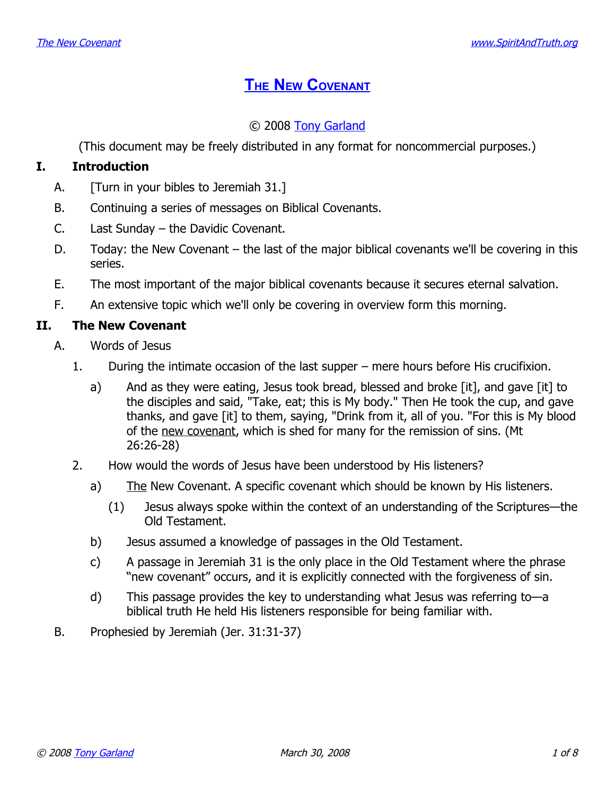# **THE NEW C[OVENANT](http://www.spiritandtruth.org/teaching/20.htm)**

## © 2008 [Tony Garland](http://www.spiritandtruth.org/id/tg.htm)

(This document may be freely distributed in any format for noncommercial purposes.)

## **I. Introduction**

- A. [Turn in your bibles to Jeremiah 31.]
- B. Continuing a series of messages on Biblical Covenants.
- C. Last Sunday the Davidic Covenant.
- D. Today: the New Covenant the last of the major biblical covenants we'll be covering in this series.
- E. The most important of the major biblical covenants because it secures eternal salvation.
- F. An extensive topic which we'll only be covering in overview form this morning.

## **II. The New Covenant**

- A. Words of Jesus
	- 1. During the intimate occasion of the last supper mere hours before His crucifixion.
		- a) And as they were eating, Jesus took bread, blessed and broke [it], and gave [it] to the disciples and said, "Take, eat; this is My body." Then He took the cup, and gave thanks, and gave [it] to them, saying, "Drink from it, all of you. "For this is My blood of the new covenant, which is shed for many for the remission of sins. (Mt 26:26-28)
	- 2. How would the words of Jesus have been understood by His listeners?
		- a) The New Covenant. A specific covenant which should be known by His listeners.
			- (1) Jesus always spoke within the context of an understanding of the Scriptures—the Old Testament.
		- b) Jesus assumed a knowledge of passages in the Old Testament.
		- c) A passage in Jeremiah 31 is the only place in the Old Testament where the phrase "new covenant" occurs, and it is explicitly connected with the forgiveness of sin.
		- d) This passage provides the key to understanding what Jesus was referring to—a biblical truth He held His listeners responsible for being familiar with.
- B. Prophesied by Jeremiah (Jer. 31:31-37)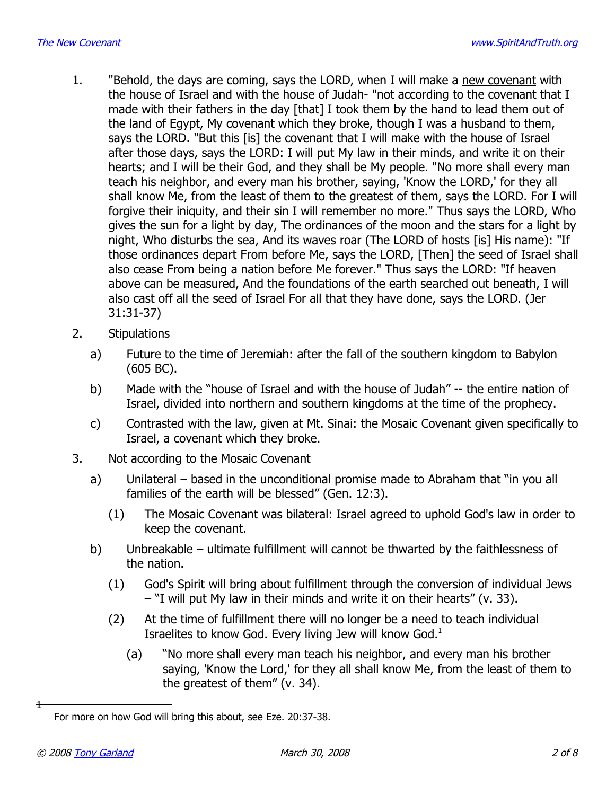- 1. "Behold, the days are coming, says the LORD, when I will make a new covenant with the house of Israel and with the house of Judah- "not according to the covenant that I made with their fathers in the day [that] I took them by the hand to lead them out of the land of Egypt, My covenant which they broke, though I was a husband to them, says the LORD. "But this [is] the covenant that I will make with the house of Israel after those days, says the LORD: I will put My law in their minds, and write it on their hearts; and I will be their God, and they shall be My people. "No more shall every man teach his neighbor, and every man his brother, saying, 'Know the LORD,' for they all shall know Me, from the least of them to the greatest of them, says the LORD. For I will forgive their iniquity, and their sin I will remember no more." Thus says the LORD, Who gives the sun for a light by day, The ordinances of the moon and the stars for a light by night, Who disturbs the sea, And its waves roar (The LORD of hosts [is] His name): "If those ordinances depart From before Me, says the LORD, [Then] the seed of Israel shall also cease From being a nation before Me forever." Thus says the LORD: "If heaven above can be measured, And the foundations of the earth searched out beneath, I will also cast off all the seed of Israel For all that they have done, says the LORD. (Jer 31:31-37)
- 2. Stipulations
	- a) Future to the time of Jeremiah: after the fall of the southern kingdom to Babylon (605 BC).
	- b) Made with the "house of Israel and with the house of Judah" -- the entire nation of Israel, divided into northern and southern kingdoms at the time of the prophecy.
	- c) Contrasted with the law, given at Mt. Sinai: the Mosaic Covenant given specifically to Israel, a covenant which they broke.
- 3. Not according to the Mosaic Covenant
	- a) Unilateral based in the unconditional promise made to Abraham that "in you all families of the earth will be blessed" (Gen. 12:3).
		- (1) The Mosaic Covenant was bilateral: Israel agreed to uphold God's law in order to keep the covenant.
	- b) Unbreakable ultimate fulfillment will cannot be thwarted by the faithlessness of the nation.
		- (1) God's Spirit will bring about fulfillment through the conversion of individual Jews – "I will put My law in their minds and write it on their hearts" (v. 33).
		- (2) At the time of fulfillment there will no longer be a need to teach individual Israelites to know God. Every living Jew will know God.[1](#page-1-0)
			- (a) "No more shall every man teach his neighbor, and every man his brother saying, 'Know the Lord,' for they all shall know Me, from the least of them to the greatest of them" (v. 34).

1

<span id="page-1-0"></span>For more on how God will bring this about, see Eze. 20:37-38.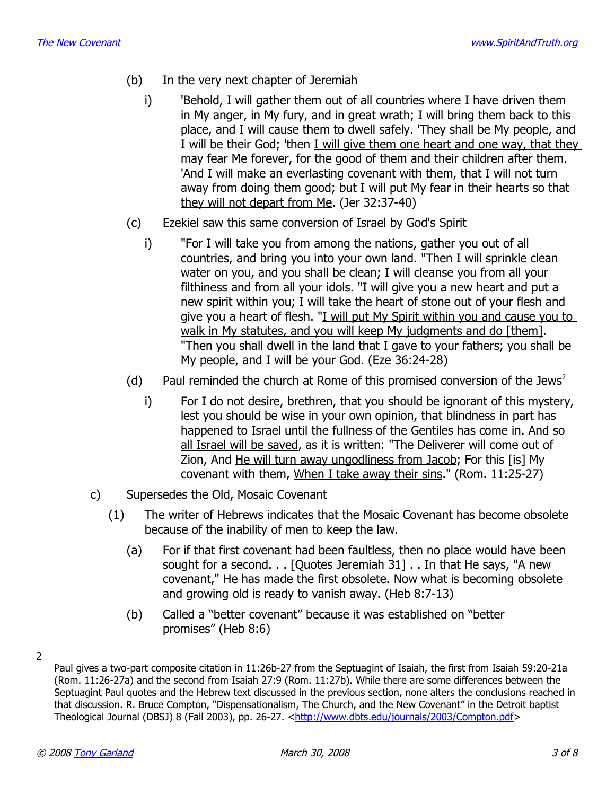- (b) In the very next chapter of Jeremiah
	- i) Behold, I will gather them out of all countries where I have driven them in My anger, in My fury, and in great wrath; I will bring them back to this place, and I will cause them to dwell safely. 'They shall be My people, and I will be their God; 'then I will give them one heart and one way, that they may fear Me forever, for the good of them and their children after them. 'And I will make an everlasting covenant with them, that I will not turn away from doing them good; but I will put My fear in their hearts so that they will not depart from Me. (Jer 32:37-40)
- (c) Ezekiel saw this same conversion of Israel by God's Spirit
	- i) "For I will take you from among the nations, gather you out of all countries, and bring you into your own land. "Then I will sprinkle clean water on you, and you shall be clean; I will cleanse you from all your filthiness and from all your idols. "I will give you a new heart and put a new spirit within you; I will take the heart of stone out of your flesh and give you a heart of flesh. "I will put My Spirit within you and cause you to walk in My statutes, and you will keep My judgments and do [them]. "Then you shall dwell in the land that I gave to your fathers; you shall be My people, and I will be your God. (Eze 36:24-28)
- (d) Paul reminded the church at Rome of this promised conversion of the Jews<sup>[2](#page-2-0)</sup>
	- i) For I do not desire, brethren, that you should be ignorant of this mystery, lest you should be wise in your own opinion, that blindness in part has happened to Israel until the fullness of the Gentiles has come in. And so all Israel will be saved, as it is written: "The Deliverer will come out of Zion, And He will turn away ungodliness from Jacob; For this [is] My covenant with them, When I take away their sins." (Rom. 11:25-27)
- c) Supersedes the Old, Mosaic Covenant
	- (1) The writer of Hebrews indicates that the Mosaic Covenant has become obsolete because of the inability of men to keep the law.
		- (a) For if that first covenant had been faultless, then no place would have been sought for a second. . . [Quotes Jeremiah 31] . . In that He says, "A new covenant," He has made the first obsolete. Now what is becoming obsolete and growing old is ready to vanish away. (Heb 8:7-13)
		- (b) Called a "better covenant" because it was established on "better promises" (Heb 8:6)

2

<span id="page-2-0"></span>Paul gives a two-part composite citation in 11:26b-27 from the Septuagint of Isaiah, the first from Isaiah 59:20-21a (Rom. 11:26-27a) and the second from Isaiah 27:9 (Rom. 11:27b). While there are some differences between the Septuagint Paul quotes and the Hebrew text discussed in the previous section, none alters the conclusions reached in that discussion. R. Bruce Compton, "Dispensationalism, The Church, and the New Covenant" in the Detroit baptist Theological Journal (DBSJ) 8 (Fall 2003), pp. 26-27. [<http://www.dbts.edu/journals/2003/Compton.pdf>](http://www.dbts.edu/journals/2003/Compton.pdf)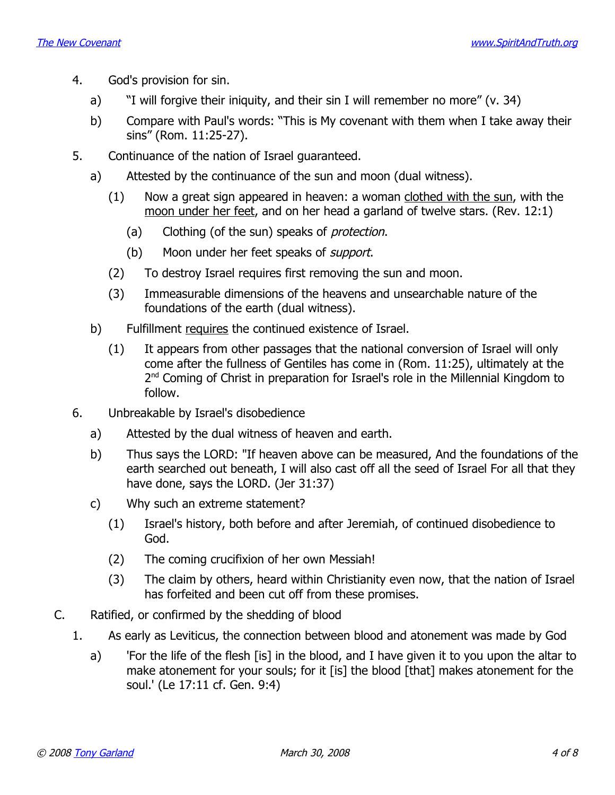- 4. God's provision for sin.
	- a) "I will forgive their iniquity, and their sin I will remember no more" (v. 34)
	- b) Compare with Paul's words: "This is My covenant with them when I take away their sins" (Rom. 11:25-27).
- 5. Continuance of the nation of Israel guaranteed.
	- a) Attested by the continuance of the sun and moon (dual witness).
		- (1) Now a great sign appeared in heaven: a woman clothed with the sun, with the moon under her feet, and on her head a garland of twelve stars. (Rev. 12:1)
			- (a) Clothing (of the sun) speaks of *protection*.
			- (b) Moon under her feet speaks of *support*.
		- (2) To destroy Israel requires first removing the sun and moon.
		- (3) Immeasurable dimensions of the heavens and unsearchable nature of the foundations of the earth (dual witness).
	- b) Fulfillment requires the continued existence of Israel.
		- (1) It appears from other passages that the national conversion of Israel will only come after the fullness of Gentiles has come in (Rom. 11:25), ultimately at the 2<sup>nd</sup> Coming of Christ in preparation for Israel's role in the Millennial Kingdom to follow.
- 6. Unbreakable by Israel's disobedience
	- a) Attested by the dual witness of heaven and earth.
	- b) Thus says the LORD: "If heaven above can be measured, And the foundations of the earth searched out beneath, I will also cast off all the seed of Israel For all that they have done, says the LORD. (Jer 31:37)
	- c) Why such an extreme statement?
		- (1) Israel's history, both before and after Jeremiah, of continued disobedience to God.
		- (2) The coming crucifixion of her own Messiah!
		- (3) The claim by others, heard within Christianity even now, that the nation of Israel has forfeited and been cut off from these promises.
- C. Ratified, or confirmed by the shedding of blood
	- 1. As early as Leviticus, the connection between blood and atonement was made by God
		- a) For the life of the flesh [is] in the blood, and I have given it to you upon the altar to make atonement for your souls; for it [is] the blood [that] makes atonement for the soul.' (Le 17:11 cf. Gen. 9:4)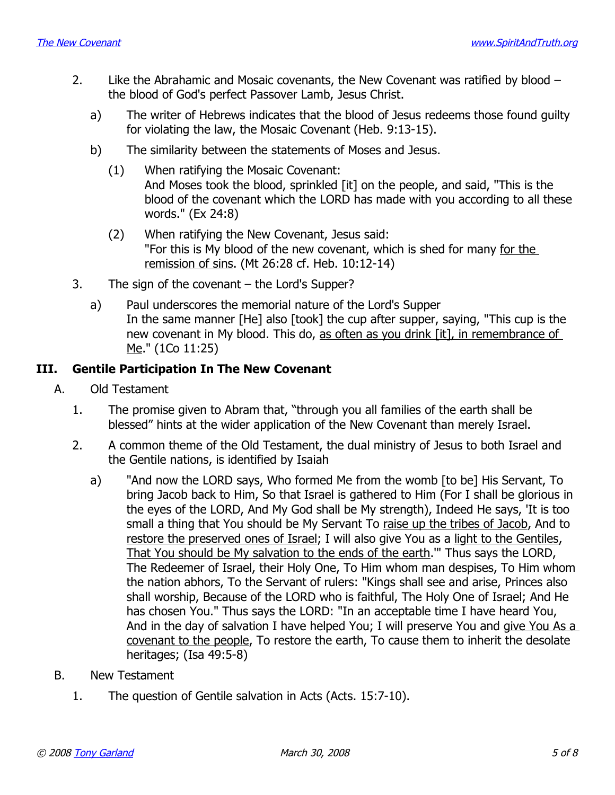- 2. Like the Abrahamic and Mosaic covenants, the New Covenant was ratified by blood the blood of God's perfect Passover Lamb, Jesus Christ.
	- a) The writer of Hebrews indicates that the blood of Jesus redeems those found guilty for violating the law, the Mosaic Covenant (Heb. 9:13-15).
	- b) The similarity between the statements of Moses and Jesus.
		- (1) When ratifying the Mosaic Covenant: And Moses took the blood, sprinkled [it] on the people, and said, "This is the blood of the covenant which the LORD has made with you according to all these words." (Ex 24:8)
		- (2) When ratifying the New Covenant, Jesus said: "For this is My blood of the new covenant, which is shed for many for the remission of sins. (Mt 26:28 cf. Heb. 10:12-14)
- 3. The sign of the covenant the Lord's Supper?
	- a) Paul underscores the memorial nature of the Lord's Supper In the same manner [He] also [took] the cup after supper, saying, "This cup is the new covenant in My blood. This do, as often as you drink [it], in remembrance of Me." (1Co 11:25)

#### **III. Gentile Participation In The New Covenant**

- A. Old Testament
	- 1. The promise given to Abram that, "through you all families of the earth shall be blessed" hints at the wider application of the New Covenant than merely Israel.
	- 2. A common theme of the Old Testament, the dual ministry of Jesus to both Israel and the Gentile nations, is identified by Isaiah
		- a) "And now the LORD says, Who formed Me from the womb [to be] His Servant, To bring Jacob back to Him, So that Israel is gathered to Him (For I shall be glorious in the eyes of the LORD, And My God shall be My strength), Indeed He says, 'It is too small a thing that You should be My Servant To raise up the tribes of Jacob, And to restore the preserved ones of Israel; I will also give You as a light to the Gentiles, That You should be My salvation to the ends of the earth.'" Thus says the LORD, The Redeemer of Israel, their Holy One, To Him whom man despises, To Him whom the nation abhors, To the Servant of rulers: "Kings shall see and arise, Princes also shall worship, Because of the LORD who is faithful, The Holy One of Israel; And He has chosen You." Thus says the LORD: "In an acceptable time I have heard You, And in the day of salvation I have helped You; I will preserve You and give You As a covenant to the people, To restore the earth, To cause them to inherit the desolate heritages; (Isa 49:5-8)
- B. New Testament
	- 1. The question of Gentile salvation in Acts (Acts. 15:7-10).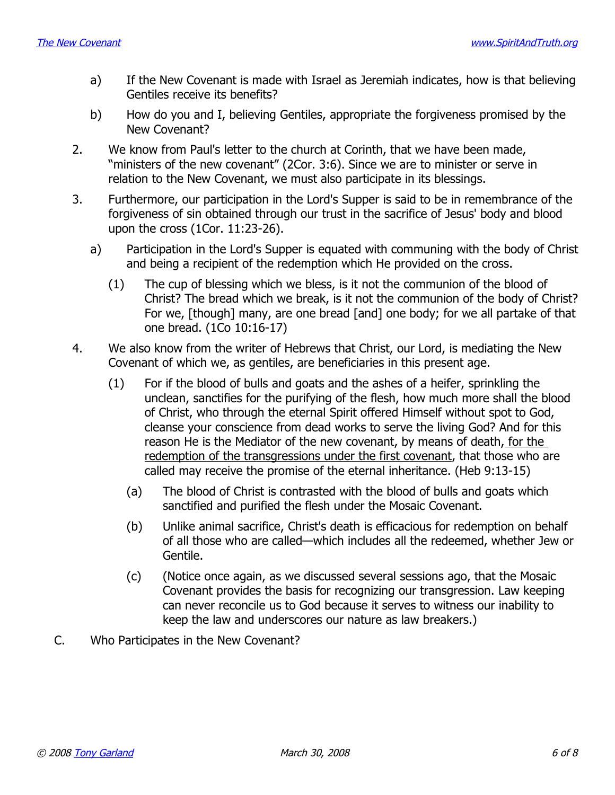- a) If the New Covenant is made with Israel as Jeremiah indicates, how is that believing Gentiles receive its benefits?
- b) How do you and I, believing Gentiles, appropriate the forgiveness promised by the New Covenant?
- 2. We know from Paul's letter to the church at Corinth, that we have been made, "ministers of the new covenant" (2Cor. 3:6). Since we are to minister or serve in relation to the New Covenant, we must also participate in its blessings.
- 3. Furthermore, our participation in the Lord's Supper is said to be in remembrance of the forgiveness of sin obtained through our trust in the sacrifice of Jesus' body and blood upon the cross (1Cor. 11:23-26).
	- a) Participation in the Lord's Supper is equated with communing with the body of Christ and being a recipient of the redemption which He provided on the cross.
		- (1) The cup of blessing which we bless, is it not the communion of the blood of Christ? The bread which we break, is it not the communion of the body of Christ? For we, [though] many, are one bread [and] one body; for we all partake of that one bread. (1Co 10:16-17)
- 4. We also know from the writer of Hebrews that Christ, our Lord, is mediating the New Covenant of which we, as gentiles, are beneficiaries in this present age.
	- (1) For if the blood of bulls and goats and the ashes of a heifer, sprinkling the unclean, sanctifies for the purifying of the flesh, how much more shall the blood of Christ, who through the eternal Spirit offered Himself without spot to God, cleanse your conscience from dead works to serve the living God? And for this reason He is the Mediator of the new covenant, by means of death, for the redemption of the transgressions under the first covenant, that those who are called may receive the promise of the eternal inheritance. (Heb 9:13-15)
		- (a) The blood of Christ is contrasted with the blood of bulls and goats which sanctified and purified the flesh under the Mosaic Covenant.
		- (b) Unlike animal sacrifice, Christ's death is efficacious for redemption on behalf of all those who are called—which includes all the redeemed, whether Jew or Gentile.
		- (c) (Notice once again, as we discussed several sessions ago, that the Mosaic Covenant provides the basis for recognizing our transgression. Law keeping can never reconcile us to God because it serves to witness our inability to keep the law and underscores our nature as law breakers.)
- C. Who Participates in the New Covenant?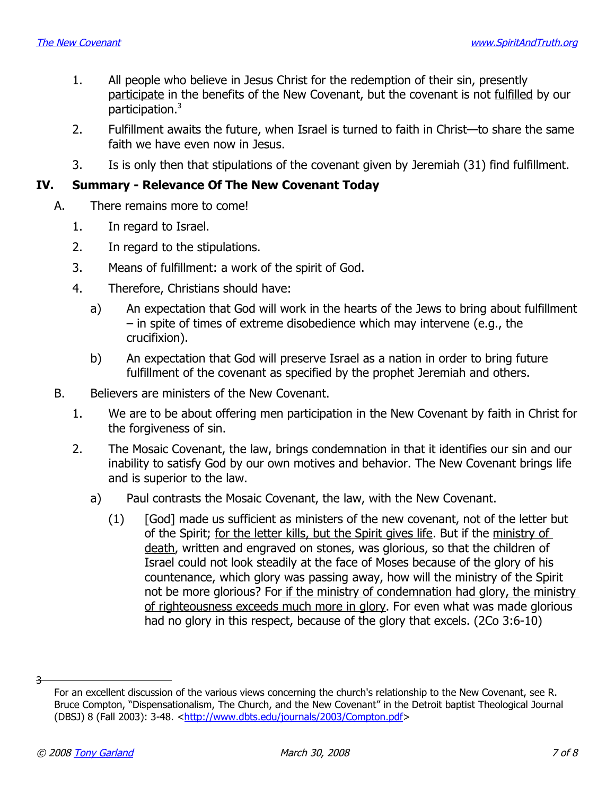- 1. All people who believe in Jesus Christ for the redemption of their sin, presently participate in the benefits of the New Covenant, but the covenant is not fulfilled by our participation.[3](#page-6-0)
- 2. Fulfillment awaits the future, when Israel is turned to faith in Christ—to share the same faith we have even now in Jesus.
- 3. Is is only then that stipulations of the covenant given by Jeremiah (31) find fulfillment.

#### **IV. Summary - Relevance Of The New Covenant Today**

- A. There remains more to come!
	- 1. In regard to Israel.
	- 2. In regard to the stipulations.
	- 3. Means of fulfillment: a work of the spirit of God.
	- 4. Therefore, Christians should have:
		- a) An expectation that God will work in the hearts of the Jews to bring about fulfillment – in spite of times of extreme disobedience which may intervene (e.g., the crucifixion).
		- b) An expectation that God will preserve Israel as a nation in order to bring future fulfillment of the covenant as specified by the prophet Jeremiah and others.
- B. Believers are ministers of the New Covenant.
	- 1. We are to be about offering men participation in the New Covenant by faith in Christ for the forgiveness of sin.
	- 2. The Mosaic Covenant, the law, brings condemnation in that it identifies our sin and our inability to satisfy God by our own motives and behavior. The New Covenant brings life and is superior to the law.
		- a) Paul contrasts the Mosaic Covenant, the law, with the New Covenant.
			- (1) [God] made us sufficient as ministers of the new covenant, not of the letter but of the Spirit; for the letter kills, but the Spirit gives life. But if the ministry of death, written and engraved on stones, was glorious, so that the children of Israel could not look steadily at the face of Moses because of the glory of his countenance, which glory was passing away, how will the ministry of the Spirit not be more glorious? For if the ministry of condemnation had glory, the ministry of righteousness exceeds much more in glory. For even what was made glorious had no glory in this respect, because of the glory that excels. (2Co 3:6-10)

3

<span id="page-6-0"></span>For an excellent discussion of the various views concerning the church's relationship to the New Covenant, see R. Bruce Compton, "Dispensationalism, The Church, and the New Covenant" in the Detroit baptist Theological Journal (DBSJ) 8 (Fall 2003): 3-48. [<http://www.dbts.edu/journals/2003/Compton.pdf>](http://www.dbts.edu/journals/2003/Compton.pdf)